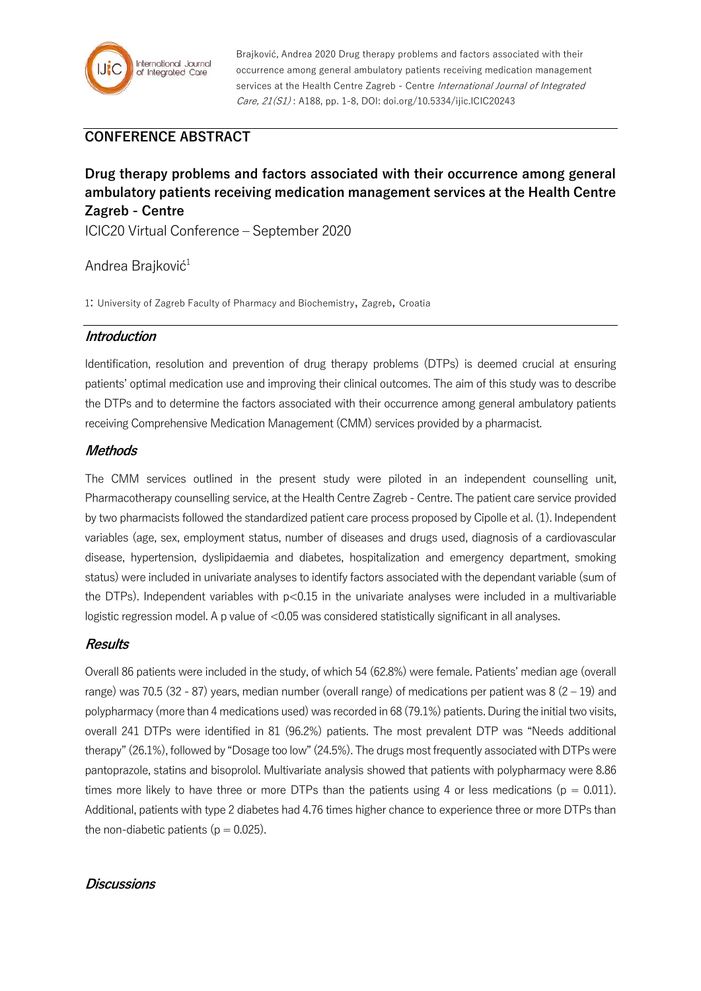

Brajković, Andrea 2020 Drug therapy problems and factors associated with their occurrence among general ambulatory patients receiving medication management services at the Health Centre Zagreb - Centre International Journal of Integrated Care, 21(S1) : A188, pp. 1-8, DOI: doi.org/10.5334/ijic.ICIC20243

# **CONFERENCE ABSTRACT**

# **Drug therapy problems and factors associated with their occurrence among general ambulatory patients receiving medication management services at the Health Centre Zagreb - Centre**

ICIC20 Virtual Conference – September 2020

### Andrea Brajković<sup>1</sup>

1: University of Zagreb Faculty of Pharmacy and Biochemistry, Zagreb, Croatia

#### **Introduction**

Identification, resolution and prevention of drug therapy problems (DTPs) is deemed crucial at ensuring patients' optimal medication use and improving their clinical outcomes. The aim of this study was to describe the DTPs and to determine the factors associated with their occurrence among general ambulatory patients receiving Comprehensive Medication Management (CMM) services provided by a pharmacist.

### **Methods**

The CMM services outlined in the present study were piloted in an independent counselling unit, Pharmacotherapy counselling service, at the Health Centre Zagreb - Centre. The patient care service provided by two pharmacists followed the standardized patient care process proposed by Cipolle et al. (1). Independent variables (age, sex, employment status, number of diseases and drugs used, diagnosis of a cardiovascular disease, hypertension, dyslipidaemia and diabetes, hospitalization and emergency department, smoking status) were included in univariate analyses to identify factors associated with the dependant variable (sum of the DTPs). Independent variables with p<0.15 in the univariate analyses were included in a multivariable logistic regression model. A p value of <0.05 was considered statistically significant in all analyses.

#### **Results**

Overall 86 patients were included in the study, of which 54 (62.8%) were female. Patients' median age (overall range) was 70.5 (32 - 87) years, median number (overall range) of medications per patient was  $8(2-19)$  and polypharmacy (more than 4 medications used) was recorded in 68 (79.1%) patients. During the initial two visits, overall 241 DTPs were identified in 81 (96.2%) patients. The most prevalent DTP was "Needs additional therapy" (26.1%), followed by "Dosage too low" (24.5%). The drugs most frequently associated with DTPs were pantoprazole, statins and bisoprolol. Multivariate analysis showed that patients with polypharmacy were 8.86 times more likely to have three or more DTPs than the patients using 4 or less medications ( $p = 0.011$ ). Additional, patients with type 2 diabetes had 4.76 times higher chance to experience three or more DTPs than the non-diabetic patients ( $p = 0.025$ ).

### **Discussions**